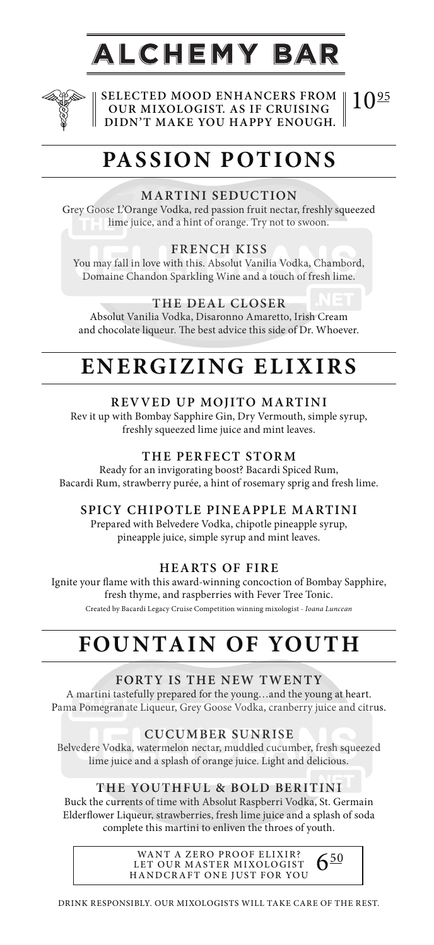# ALCHEMY BAR



**SELECTED MOOD ENHANCERS FROM OUR MIXOLOGIST. AS IF CRUISING DIDN'T MAKE YOU HAPPY ENOUGH.**  $10^{95}$ 

# **PASSION POTIONS**

# **MARTINI SEDUCTION**

Grey Goose L'Orange Vodka, red passion fruit nectar, freshly squeezed lime juice, and a hint of orange. Try not to swoon.

## **FRENCH KISS**

You may fall in love with this. Absolut Vanilia Vodka, Chambord, Domaine Chandon Sparkling Wine and a touch of fresh lime.

## **THE DEAL CLOSER**

Absolut Vanilia Vodka, Disaronno Amaretto, Irish Cream and chocolate liqueur. The best advice this side of Dr. Whoever.

# **ENERGIZING ELIXIRS**

## **REVVED UP MOJITO MARTINI**

Rev it up with Bombay Sapphire Gin, Dry Vermouth, simple syrup, freshly squeezed lime juice and mint leaves.

### **THE PERFECT STORM**

Ready for an invigorating boost? Bacardi Spiced Rum, Bacardi Rum, strawberry purée, a hint of rosemary sprig and fresh lime.

### **SPICY CHIPOTLE PINEAPPLE MARTINI**

Prepared with Belvedere Vodka, chipotle pineapple syrup, pineapple juice, simple syrup and mint leaves.

### **HEARTS OF FIRE**

Ignite your flame with this award-winning concoction of Bombay Sapphire, fresh thyme, and raspberries with Fever Tree Tonic. Created by Bacardi Legacy Cruise Competition winning mixologist - *Ioana Luncean*

# **FOUNTAIN OF YOUTH**

### **FORTY IS THE NEW TWENTY**

A martini tastefully prepared for the young…and the young at heart. Pama Pomegranate Liqueur, Grey Goose Vodka, cranberry juice and citrus.

### **CUCUMBER SUNRISE**

Belvedere Vodka, watermelon nectar, muddled cucumber, fresh squeezed lime juice and a splash of orange juice. Light and delicious.

### **THE YOUTHFUL & BOLD BERITINI**

Buck the currents of time with Absolut Raspberri Vodka, St. Germain Elderflower Liqueur, strawberries, fresh lime juice and a splash of soda complete this martini to enliven the throes of youth.

> WANT A ZERO PROOF ELIXIR? LET OUR MASTER MIXOLOGIST HANDCRAFT ONE JUST FOR YOU

 $6^{50}$ 

DRINK RESPONSIBLY. OUR MIXOLOGISTS WILL TAKE CARE OF THE REST.